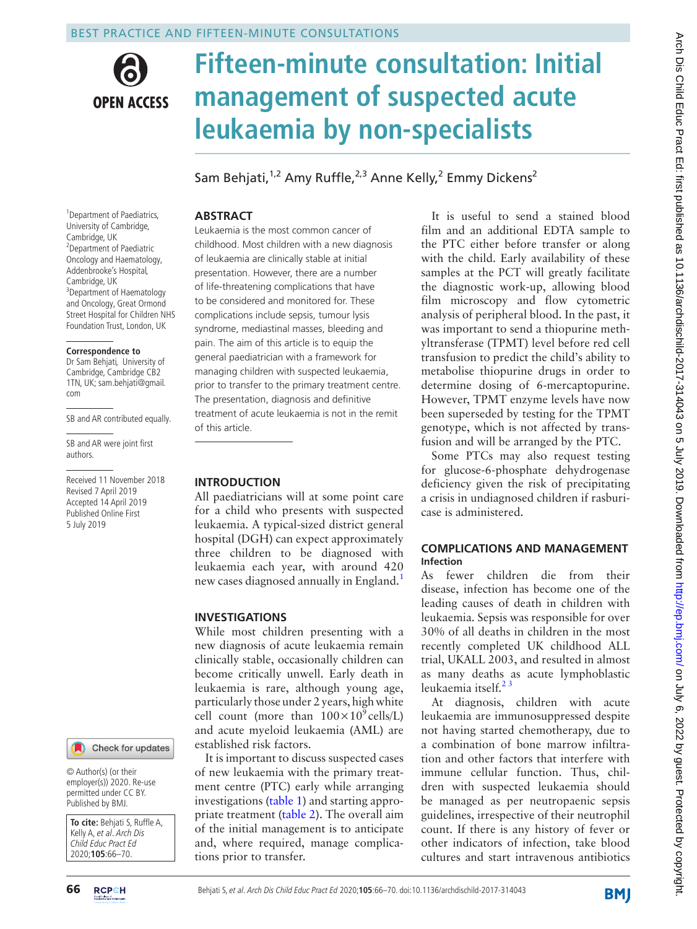

# **Fifteen-minute consultation: Initial management of suspected acute leukaemia by non-specialists**

Sam Behjati,<sup>1,2</sup> Amy Ruffle,<sup>2,3</sup> Anne Kelly,<sup>2</sup> Emmy Dickens<sup>2</sup>

#### <sup>1</sup> Department of Paediatrics, University of Cambridge, Cambridge, UK 2 Department of Paediatric Oncology and Haematology, Addenbrooke's Hospital, Cambridge, UK <sup>3</sup>Department of Haematology and Oncology, Great Ormond Street Hospital for Children NHS Foundation Trust, London, UK

#### **Correspondence to**

Dr Sam Behjati, University of Cambridge, Cambridge CB2 1TN, UK; sam.behjati@gmail. com

SB and AR contributed equally.

SB and AR were joint first authors.

Received 11 November 2018 Revised 7 April 2019 Accepted 14 April 2019 Published Online First 5 July 2019



© Author(s) (or their employer(s)) 2020. Re-use permitted under CC BY. Published by BMJ.

**To cite:** Behjati S, Ruffle A, Kelly A, et al. Arch Dis Child Educ Pract Ed 2020;**105**:66–70.

# **Abstract**

Leukaemia is the most common cancer of childhood. Most children with a new diagnosis of leukaemia are clinically stable at initial presentation. However, there are a number of life-threatening complications that have to be considered and monitored for. These complications include sepsis, tumour lysis syndrome, mediastinal masses, bleeding and pain. The aim of this article is to equip the general paediatrician with a framework for managing children with suspected leukaemia, prior to transfer to the primary treatment centre. The presentation, diagnosis and definitive treatment of acute leukaemia is not in the remit of this article.

#### **Introduction**

All paediatricians will at some point care for a child who presents with suspected leukaemia. A typical-sized district general hospital (DGH) can expect approximately three children to be diagnosed with leukaemia each year, with around 420 new cases diagnosed annually in England.<sup>1</sup>

# **Investigations**

While most children presenting with a new diagnosis of acute leukaemia remain clinically stable, occasionally children can become critically unwell. Early death in leukaemia is rare, although young age, particularly those under 2 years, high white cell count (more than  $100\times10^{9}$  cells/L) and acute myeloid leukaemia (AML) are established risk factors.

It is important to discuss suspected cases of new leukaemia with the primary treatment centre (PTC) early while arranging investigations [\(table](#page-1-0) 1) and starting appro-priate treatment [\(table](#page-1-1) 2). The overall aim of the initial management is to anticipate and, where required, manage complications prior to transfer.

It is useful to send a stained blood film and an additional EDTA sample to the PTC either before transfer or along with the child. Early availability of these samples at the PCT will greatly facilitate the diagnostic work-up, allowing blood film microscopy and flow cytometric analysis of peripheral blood. In the past, it was important to send a thiopurine methyltransferase (TPMT) level before red cell transfusion to predict the child's ability to metabolise thiopurine drugs in order to determine dosing of 6-mercaptopurine. However, TPMT enzyme levels have now been superseded by testing for the TPMT genotype, which is not affected by transfusion and will be arranged by the PTC.

Some PTCs may also request testing for glucose-6-phosphate dehydrogenase deficiency given the risk of precipitating a crisis in undiagnosed children if rasburicase is administered.

### **Complications and management Infection**

As fewer children die from their disease, infection has become one of the leading causes of death in children with leukaemia. Sepsis was responsible for over 30% of all deaths in children in the most recently completed UK childhood ALL trial, UKALL 2003, and resulted in almost as many deaths as acute lymphoblastic leukaemia itself.<sup>23</sup>

At diagnosis, children with acute leukaemia are immunosuppressed despite not having started chemotherapy, due to a combination of bone marrow infiltration and other factors that interfere with immune cellular function. Thus, children with suspected leukaemia should be managed as per neutropaenic sepsis guidelines, irrespective of their neutrophil count. If there is any history of fever or other indicators of infection, take blood cultures and start intravenous antibiotics

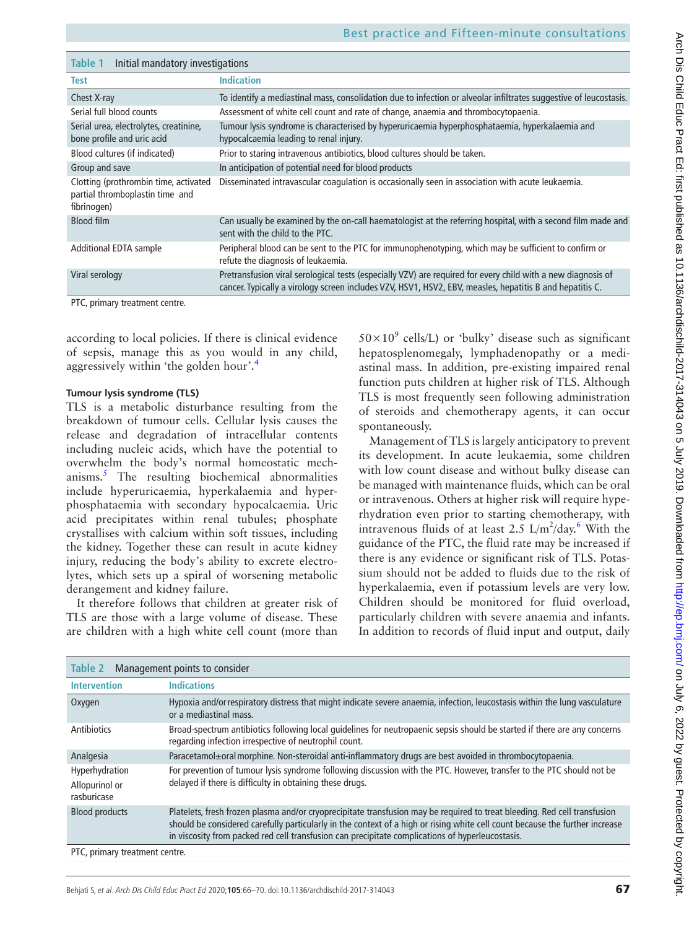<span id="page-1-0"></span>

| rabie i<br><b>INIUAL Manuatory INVESTIGATIONS</b>                                       |                                                                                                                                                                                                                          |  |
|-----------------------------------------------------------------------------------------|--------------------------------------------------------------------------------------------------------------------------------------------------------------------------------------------------------------------------|--|
| <b>Test</b>                                                                             | <b>Indication</b>                                                                                                                                                                                                        |  |
| Chest X-ray                                                                             | To identify a mediastinal mass, consolidation due to infection or alveolar infiltrates suggestive of leucostasis.                                                                                                        |  |
| Serial full blood counts                                                                | Assessment of white cell count and rate of change, anaemia and thrombocytopaenia.                                                                                                                                        |  |
| Serial urea, electrolytes, creatinine,<br>bone profile and uric acid                    | Tumour lysis syndrome is characterised by hyperuricaemia hyperphosphataemia, hyperkalaemia and<br>hypocalcaemia leading to renal injury.                                                                                 |  |
| Blood cultures (if indicated)                                                           | Prior to staring intravenous antibiotics, blood cultures should be taken.                                                                                                                                                |  |
| Group and save                                                                          | In anticipation of potential need for blood products                                                                                                                                                                     |  |
| Clotting (prothrombin time, activated<br>partial thromboplastin time and<br>fibrinogen) | Disseminated intravascular coagulation is occasionally seen in association with acute leukaemia.                                                                                                                         |  |
| <b>Blood film</b>                                                                       | Can usually be examined by the on-call haematologist at the referring hospital, with a second film made and<br>sent with the child to the PTC.                                                                           |  |
| <b>Additional EDTA sample</b>                                                           | Peripheral blood can be sent to the PTC for immunophenotyping, which may be sufficient to confirm or<br>refute the diagnosis of leukaemia.                                                                               |  |
| Viral serology                                                                          | Pretransfusion viral serological tests (especially VZV) are required for every child with a new diagnosis of<br>cancer. Typically a virology screen includes VZV, HSV1, HSV2, EBV, measles, hepatitis B and hepatitis C. |  |
| PTC, primary treatment centre.                                                          |                                                                                                                                                                                                                          |  |

according to local policies. If there is clinical evidence of sepsis, manage this as you would in any child, aggressively within 'the golden hour'.[4](#page-4-2)

#### **Tumour lysis syndrome (TLS)**

**Table 1** Initial mandatory investigations

TLS is a metabolic disturbance resulting from the breakdown of tumour cells. Cellular lysis causes the release and degradation of intracellular contents including nucleic acids, which have the potential to overwhelm the body's normal homeostatic mechanisms.<sup>5</sup> The resulting biochemical abnormalities include hyperuricaemia, hyperkalaemia and hyperphosphataemia with secondary hypocalcaemia. Uric acid precipitates within renal tubules; phosphate crystallises with calcium within soft tissues, including the kidney. Together these can result in acute kidney injury, reducing the body's ability to excrete electrolytes, which sets up a spiral of worsening metabolic derangement and kidney failure.

It therefore follows that children at greater risk of TLS are those with a large volume of disease. These are children with a high white cell count (more than

 $50\times10^{9}$  cells/L) or 'bulky' disease such as significant hepatosplenomegaly, lymphadenopathy or a mediastinal mass. In addition, pre-existing impaired renal function puts children at higher risk of TLS. Although TLS is most frequently seen following administration of steroids and chemotherapy agents, it can occur spontaneously.

Management of TLS is largely anticipatory to prevent its development. In acute leukaemia, some children with low count disease and without bulky disease can be managed with maintenance fluids, which can be oral or intravenous. Others at higher risk will require hyperhydration even prior to starting chemotherapy, with intravenous fluids of at least 2.5  $L/m^2/day$ .<sup>[6](#page-4-4)</sup> With the guidance of the PTC, the fluid rate may be increased if there is any evidence or significant risk of TLS. Potassium should not be added to fluids due to the risk of hyperkalaemia, even if potassium levels are very low. Children should be monitored for fluid overload, particularly children with severe anaemia and infants. In addition to records of fluid input and output, daily

<span id="page-1-1"></span>

| Management points to consider<br>Table 2        |                                                                                                                                                                                                                                                                                                                                                               |
|-------------------------------------------------|---------------------------------------------------------------------------------------------------------------------------------------------------------------------------------------------------------------------------------------------------------------------------------------------------------------------------------------------------------------|
| <b>Intervention</b>                             | <b>Indications</b>                                                                                                                                                                                                                                                                                                                                            |
| Oxygen                                          | Hypoxia and/or respiratory distress that might indicate severe anaemia, infection, leucostasis within the lung vasculature<br>or a mediastinal mass.                                                                                                                                                                                                          |
| Antibiotics                                     | Broad-spectrum antibiotics following local quidelines for neutropaenic sepsis should be started if there are any concerns<br>regarding infection irrespective of neutrophil count.                                                                                                                                                                            |
| Analgesia                                       | Paracetamol±oral morphine. Non-steroidal anti-inflammatory drugs are best avoided in thrombocytopaenia.                                                                                                                                                                                                                                                       |
| Hyperhydration<br>Allopurinol or<br>rasburicase | For prevention of tumour lysis syndrome following discussion with the PTC. However, transfer to the PTC should not be<br>delayed if there is difficulty in obtaining these drugs.                                                                                                                                                                             |
| <b>Blood products</b>                           | Platelets, fresh frozen plasma and/or cryoprecipitate transfusion may be required to treat bleeding. Red cell transfusion<br>should be considered carefully particularly in the context of a high or rising white cell count because the further increase<br>in viscosity from packed red cell transfusion can precipitate complications of hyperleucostasis. |
| PTC, primary treatment centre.                  |                                                                                                                                                                                                                                                                                                                                                               |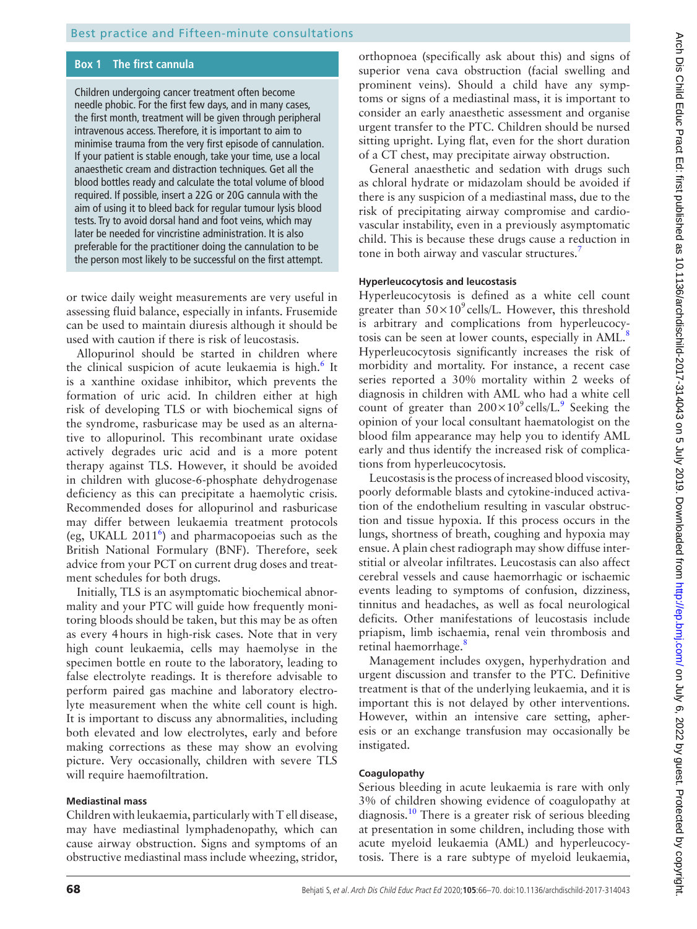# **Box 1 The first cannula**

<span id="page-2-0"></span>Children undergoing cancer treatment often become needle phobic. For the first few days, and in many cases, the first month, treatment will be given through peripheral intravenous access. Therefore, it is important to aim to minimise trauma from the very first episode of cannulation. If your patient is stable enough, take your time, use a local anaesthetic cream and distraction techniques. Get all the blood bottles ready and calculate the total volume of blood required. If possible, insert a 22G or 20G cannula with the aim of using it to bleed back for regular tumour lysis blood tests. Try to avoid dorsal hand and foot veins, which may later be needed for vincristine administration. It is also preferable for the practitioner doing the cannulation to be the person most likely to be successful on the first attempt.

or twice daily weight measurements are very useful in assessing fluid balance, especially in infants. Frusemide can be used to maintain diuresis although it should be used with caution if there is risk of leucostasis.

Allopurinol should be started in children where the clinical suspicion of acute leukaemia is high.<sup>[6](#page-4-4)</sup> It is a xanthine oxidase inhibitor, which prevents the formation of uric acid. In children either at high risk of developing TLS or with biochemical signs of the syndrome, rasburicase may be used as an alternative to allopurinol. This recombinant urate oxidase actively degrades uric acid and is a more potent therapy against TLS. However, it should be avoided in children with glucose-6-phosphate dehydrogenase deficiency as this can precipitate a haemolytic crisis. Recommended doses for allopurinol and rasburicase may differ between leukaemia treatment protocols (eg, UKALL 2011<sup>[6](#page-4-4)</sup>) and pharmacopoeias such as the British National Formulary (BNF). Therefore, seek advice from your PCT on current drug doses and treatment schedules for both drugs.

Initially, TLS is an asymptomatic biochemical abnormality and your PTC will guide how frequently monitoring bloods should be taken, but this may be as often as every 4hours in high-risk cases. Note that in very high count leukaemia, cells may haemolyse in the specimen bottle en route to the laboratory, leading to false electrolyte readings. It is therefore advisable to perform paired gas machine and laboratory electrolyte measurement when the white cell count is high. It is important to discuss any abnormalities, including both elevated and low electrolytes, early and before making corrections as these may show an evolving picture. Very occasionally, children with severe TLS will require haemofiltration.

#### **Mediastinal mass**

Children with leukaemia, particularly with Tell disease, may have mediastinal lymphadenopathy, which can cause airway obstruction. Signs and symptoms of an obstructive mediastinal mass include wheezing, stridor,

orthopnoea (specifically ask about this) and signs of superior vena cava obstruction (facial swelling and prominent veins). Should a child have any symptoms or signs of a mediastinal mass, it is important to consider an early anaesthetic assessment and organise urgent transfer to the PTC. Children should be nursed sitting upright. Lying flat, even for the short duration of a CT chest, may precipitate airway obstruction.

General anaesthetic and sedation with drugs such as chloral hydrate or midazolam should be avoided if there is any suspicion of a mediastinal mass, due to the risk of precipitating airway compromise and cardiovascular instability, even in a previously asymptomatic child. This is because these drugs cause a reduction in tone in both airway and vascular structures.<sup>[7](#page-4-5)</sup>

#### **Hyperleucocytosis and leucostasis**

Hyperleucocytosis is defined as a white cell count greater than  $50 \times 10^9$  cells/L. However, this threshold is arbitrary and complications from hyperleucocy-tosis can be seen at lower counts, especially in AML.<sup>[8](#page-4-6)</sup> Hyperleucocytosis significantly increases the risk of morbidity and mortality. For instance, a recent case series reported a 30% mortality within 2 weeks of diagnosis in children with AML who had a white cell count of greater than  $200 \times 10^9$  $200 \times 10^9$  cells/L.<sup>9</sup> Seeking the opinion of your local consultant haematologist on the blood film appearance may help you to identify AML early and thus identify the increased risk of complications from hyperleucocytosis.

Leucostasis is the process of increased blood viscosity, poorly deformable blasts and cytokine-induced activation of the endothelium resulting in vascular obstruction and tissue hypoxia. If this process occurs in the lungs, shortness of breath, coughing and hypoxia may ensue. A plain chest radiograph may show diffuse interstitial or alveolar infiltrates. Leucostasis can also affect cerebral vessels and cause haemorrhagic or ischaemic events leading to symptoms of confusion, dizziness, tinnitus and headaches, as well as focal neurological deficits. Other manifestations of leucostasis include priapism, limb ischaemia, renal vein thrombosis and retinal haemorrhage.<sup>[8](#page-4-6)</sup>

Management includes oxygen, hyperhydration and urgent discussion and transfer to the PTC. Definitive treatment is that of the underlying leukaemia, and it is important this is not delayed by other interventions. However, within an intensive care setting, apheresis or an exchange transfusion may occasionally be instigated.

# **Coagulopathy**

Serious bleeding in acute leukaemia is rare with only 3% of children showing evidence of coagulopathy at diagnosis.<sup>[10](#page-4-8)</sup> There is a greater risk of serious bleeding at presentation in some children, including those with acute myeloid leukaemia (AML) and hyperleucocytosis. There is a rare subtype of myeloid leukaemia,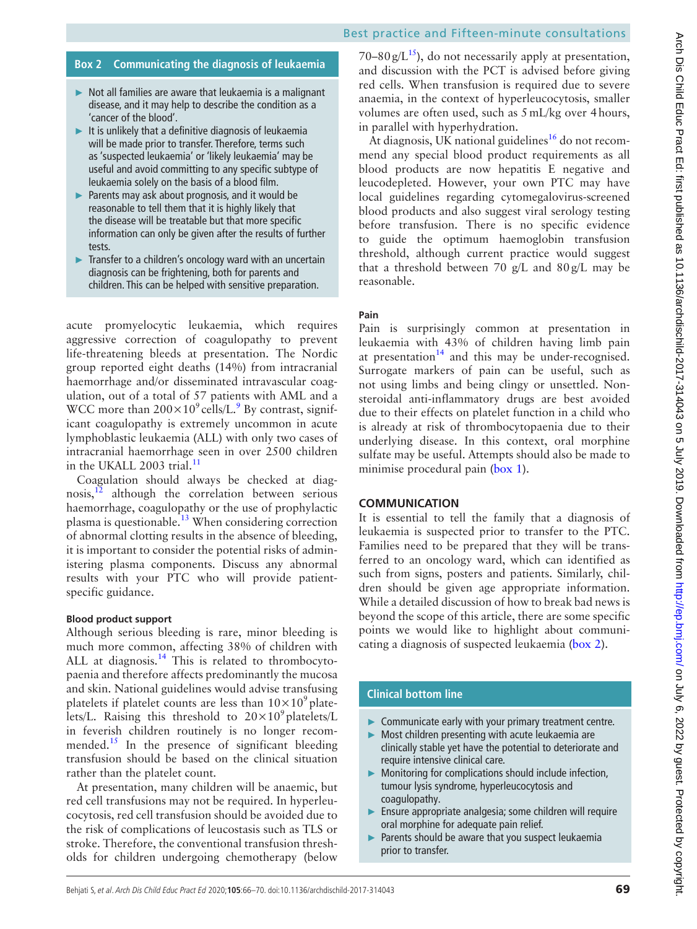# Best practice and Fifteen-minute consultations

#### **Box 2 Communicating the diagnosis of leukaemia**

- <span id="page-3-0"></span>► Not all families are aware that leukaemia is a malignant disease, and it may help to describe the condition as a 'cancer of the blood'.
- $\blacktriangleright$  It is unlikely that a definitive diagnosis of leukaemia will be made prior to transfer. Therefore, terms such as 'suspected leukaemia' or 'likely leukaemia' may be useful and avoid committing to any specific subtype of leukaemia solely on the basis of a blood film.
- ► Parents may ask about prognosis, and it would be reasonable to tell them that it is highly likely that the disease will be treatable but that more specific information can only be given after the results of further tests.
- ► Transfer to a children's oncology ward with an uncertain diagnosis can be frightening, both for parents and children. This can be helped with sensitive preparation.

acute promyelocytic leukaemia, which requires aggressive correction of coagulopathy to prevent life-threatening bleeds at presentation. The Nordic group reported eight deaths (14%) from intracranial haemorrhage and/or disseminated intravascular coagulation, out of a total of 57 patients with AML and a WCC more than  $200\times10^9$  $200\times10^9$  cells/L.<sup>9</sup> By contrast, significant coagulopathy is extremely uncommon in acute lymphoblastic leukaemia (ALL) with only two cases of intracranial haemorrhage seen in over 2500 children in the UKALL 2003 trial.<sup>11</sup>

Coagulation should always be checked at diagnosis, $12$  although the correlation between serious haemorrhage, coagulopathy or the use of prophylactic plasma is questionable.<sup>13</sup> When considering correction of abnormal clotting results in the absence of bleeding, it is important to consider the potential risks of administering plasma components. Discuss any abnormal results with your PTC who will provide patientspecific guidance.

#### **Blood product support**

Although serious bleeding is rare, minor bleeding is much more common, affecting 38% of children with ALL at diagnosis.<sup>[14](#page-4-12)</sup> This is related to thrombocytopaenia and therefore affects predominantly the mucosa and skin. National guidelines would advise transfusing platelets if platelet counts are less than  $10\times10^9$  platelets/L. Raising this threshold to  $20 \times 10^9$  platelets/L in feverish children routinely is no longer recom-mended.<sup>[15](#page-4-13)</sup> In the presence of significant bleeding transfusion should be based on the clinical situation rather than the platelet count.

At presentation, many children will be anaemic, but red cell transfusions may not be required. In hyperleucocytosis, red cell transfusion should be avoided due to the risk of complications of leucostasis such as TLS or stroke. Therefore, the conventional transfusion thresholds for children undergoing chemotherapy (below

70–80 g/L<sup>[15](#page-4-13)</sup>), do not necessarily apply at presentation, and discussion with the PCT is advised before giving red cells. When transfusion is required due to severe anaemia, in the context of hyperleucocytosis, smaller volumes are often used, such as 5mL/kg over 4hours, in parallel with hyperhydration.

At diagnosis, UK national guidelines<sup>16</sup> do not recommend any special blood product requirements as all blood products are now hepatitis E negative and leucodepleted. However, your own PTC may have local guidelines regarding cytomegalovirus-screened blood products and also suggest viral serology testing before transfusion. There is no specific evidence to guide the optimum haemoglobin transfusion threshold, although current practice would suggest that a threshold between 70 g/L and 80g/L may be reasonable.

#### **Pain**

Pain is surprisingly common at presentation in leukaemia with 43% of children having limb pain at presentation $14$  and this may be under-recognised. Surrogate markers of pain can be useful, such as not using limbs and being clingy or unsettled. Nonsteroidal anti-inflammatory drugs are best avoided due to their effects on platelet function in a child who is already at risk of thrombocytopaenia due to their underlying disease. In this context, oral morphine sulfate may be useful. Attempts should also be made to minimise procedural pain [\(box](#page-2-0) 1).

#### **Communication**

It is essential to tell the family that a diagnosis of leukaemia is suspected prior to transfer to the PTC. Families need to be prepared that they will be transferred to an oncology ward, which can identified as such from signs, posters and patients. Similarly, children should be given age appropriate information. While a detailed discussion of how to break bad news is beyond the scope of this article, there are some specific points we would like to highlight about communicating a diagnosis of suspected leukaemia [\(box](#page-3-0) 2).

#### **Clinical bottom line**

- ► Communicate early with your primary treatment centre.
- Most children presenting with acute leukaemia are clinically stable yet have the potential to deteriorate and require intensive clinical care.
- ► Monitoring for complications should include infection, tumour lysis syndrome, hyperleucocytosis and coagulopathy.
- Ensure appropriate analgesia; some children will require oral morphine for adequate pain relief.
- Parents should be aware that you suspect leukaemia prior to transfer.